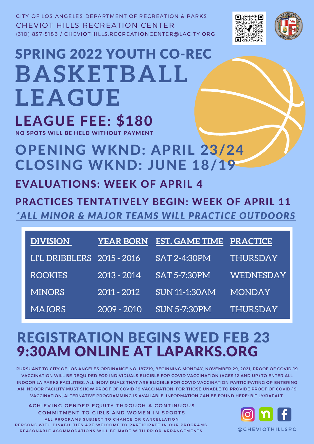| DIVISION                   | YEAR BORN   | <b>EST. GAME TIME PRACTICE</b> |           |
|----------------------------|-------------|--------------------------------|-----------|
| LI'L DRIBBLERS 2015 - 2016 |             | <b>SAT 2-4:30PM</b>            | THURSDAY  |
| <b>ROOKIES</b>             | 2013 - 2014 | <b>SAT 5-7:30PM</b>            | WEDNESDAY |
| <b>MINORS</b>              | 2011 - 2012 | <b>SUN 11-1:30AM</b>           | MONDAY    |
| <b>MAJORS</b>              | 2009 - 2010 | <b>SUN 5-7:30PM</b>            | THURSDAY  |

CITY OF LOS ANGELES DEPARTMENT OF RECREATION & PARKS CHEVIOT HILLS RECREATION CENTER (310) 837-5186 / CHEVIOTHILLS.RECREATIONCENTER@LACITY.ORG





LEAGUE FEE: \$180 SPRING 2022 YOUTH CO-REC **BASKETBALL LEAGUE**

NO SPOTS WILL BE HELD WITHOUT PAYMENT

OPENING WKND: APRIL 23/24 CLOSING WKND: JUNE 18/19

## REGISTRATION BEGINS WED FEB 23 9:30AM ONLINE AT LAPARKS.ORG



EVALUATIONS: WEEK OF APRIL 4

PRACTICES TENTATIVELY BEGIN: WEEK OF APRIL 11 *\*ALL MINOR & MAJOR TEAMS WILL PRACTICE OUTDOORS*

PURSUANT TO CITY OF LOS ANGELES ORDINANCE NO. 187219, BEGINNING MONDAY, NOVEMBER 29, 2021, PROOF OF COVID-19 VACCINATION WILL BE REQUIRED FOR INDIVIDUALS ELIGIBLE FOR COVID VACCINATION (AGES 12 AND UP) TO ENTER ALL INDOOR LA PARKS FACILITIES. ALL INDIVIDUALS THAT ARE ELIGIBLE FOR COVID VACCINATION PARTICIPATING OR ENTERING AN INDOOR FACILITY MUST SHOW PROOF OF COVID-19 VACCINATION. FOR THOSE UNABLE TO PROVIDE PROOF OF COVID-19 VACCINATION, ALTERNATIVE PROGRAMMING IS AVAILABLE. INFORMATION CAN BE FOUND HERE: BIT.LY/RAPALT.

ACHIEVING GENDER EQUITY THROUGH A CONTINUOUS COMMITMENT TO GIRLS AND WOMEN IN SPORTS ALL PROGRAMS SUBJECT TO CHANGE OR CANCELLATION PERSONS WITH DISABILITIES ARE WELCOME TO PARTICIPATE IN OUR PROGRAMS. REASONABLE ACOMMODATIONS WILL BE MADE WITH PRIOR ARRANGEMENTS.